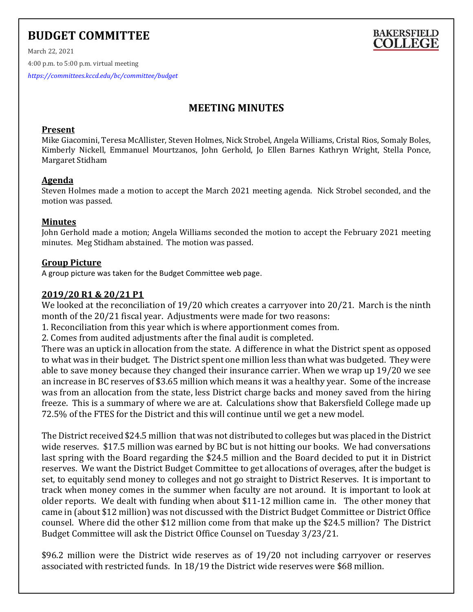# **BUDGET COMMITTEE**



March 22, 2021 4:00 p.m. to 5:00 p.m. virtual meeting *<https://committees.kccd.edu/bc/committee/budget>*

## **MEETING MINUTES**

#### **Present**

Mike Giacomini, Teresa McAllister, Steven Holmes, Nick Strobel, Angela Williams, Cristal Rios, Somaly Boles, Kimberly Nickell, Emmanuel Mourtzanos, John Gerhold, Jo Ellen Barnes Kathryn Wright, Stella Ponce, Margaret Stidham

#### **Agenda**

Steven Holmes made a motion to accept the March 2021 meeting agenda. Nick Strobel seconded, and the motion was passed.

#### **Minutes**

John Gerhold made a motion; Angela Williams seconded the motion to accept the February 2021 meeting minutes. Meg Stidham abstained. The motion was passed.

#### **Group Picture**

A group picture was taken for the Budget Committee web page.

### **2019/20 R1 & 20/21 P1**

We looked at the reconciliation of 19/20 which creates a carryover into 20/21. March is the ninth month of the 20/21 fiscal year. Adjustments were made for two reasons:

1. Reconciliation from this year which is where apportionment comes from.

2. Comes from audited adjustments after the final audit is completed.

There was an uptick in allocation from the state. A difference in what the District spent as opposed to what was in their budget. The District spent one million less than what was budgeted. They were able to save money because they changed their insurance carrier. When we wrap up 19/20 we see an increase in BC reserves of \$3.65 million which means it was a healthy year. Some of the increase was from an allocation from the state, less District charge backs and money saved from the hiring freeze. This is a summary of where we are at. Calculations show that Bakersfield College made up 72.5% of the FTES for the District and this will continue until we get a new model.

The District received \$24.5 million that was not distributed to colleges but was placed in the District wide reserves. \$17.5 million was earned by BC but is not hitting our books. We had conversations last spring with the Board regarding the \$24.5 million and the Board decided to put it in District reserves. We want the District Budget Committee to get allocations of overages, after the budget is set, to equitably send money to colleges and not go straight to District Reserves. It is important to track when money comes in the summer when faculty are not around. It is important to look at older reports. We dealt with funding when about \$11-12 million came in. The other money that came in (about \$12 million) was not discussed with the District Budget Committee or District Office counsel. Where did the other \$12 million come from that make up the \$24.5 million? The District Budget Committee will ask the District Office Counsel on Tuesday 3/23/21.

\$96.2 million were the District wide reserves as of 19/20 not including carryover or reserves associated with restricted funds. In 18/19 the District wide reserves were \$68 million.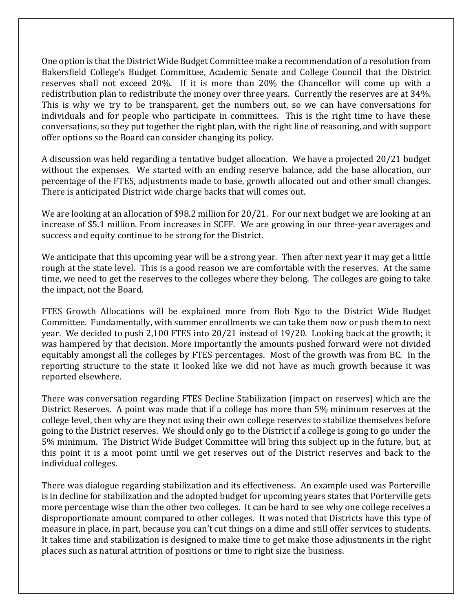One option is that the District Wide Budget Committee make a recommendation of a resolution from Bakersfield College's Budget Committee, Academic Senate and College Council that the District reserves shall not exceed 20%. If it is more than 20% the Chancellor will come up with a redistribution plan to redistribute the money over three years. Currently the reserves are at 34%. This is why we try to be transparent, get the numbers out, so we can have conversations for individuals and for people who participate in committees. This is the right time to have these conversations, so they put together the right plan, with the right line of reasoning, and with support offer options so the Board can consider changing its policy.

A discussion was held regarding a tentative budget allocation. We have a projected 20/21 budget without the expenses. We started with an ending reserve balance, add the base allocation, our percentage of the FTES, adjustments made to base, growth allocated out and other small changes. There is anticipated District wide charge backs that will comes out.

We are looking at an allocation of \$98.2 million for 20/21. For our next budget we are looking at an increase of \$5.1 million. From increases in SCFF. We are growing in our three-year averages and success and equity continue to be strong for the District.

We anticipate that this upcoming year will be a strong year. Then after next year it may get a little rough at the state level. This is a good reason we are comfortable with the reserves. At the same time, we need to get the reserves to the colleges where they belong. The colleges are going to take the impact, not the Board.

FTES Growth Allocations will be explained more from Bob Ngo to the District Wide Budget Committee. Fundamentally, with summer enrollments we can take them now or push them to next year. We decided to push 2,100 FTES into 20/21 instead of 19/20. Looking back at the growth; it was hampered by that decision. More importantly the amounts pushed forward were not divided equitably amongst all the colleges by FTES percentages. Most of the growth was from BC. In the reporting structure to the state it looked like we did not have as much growth because it was reported elsewhere.

There was conversation regarding FTES Decline Stabilization (impact on reserves) which are the District Reserves. A point was made that if a college has more than 5% minimum reserves at the college level, then why are they not using their own college reserves to stabilize themselves before going to the District reserves. We should only go to the District if a college is going to go under the 5% minimum. The District Wide Budget Committee will bring this subject up in the future, but, at this point it is a moot point until we get reserves out of the District reserves and back to the individual colleges.

There was dialogue regarding stabilization and its effectiveness. An example used was Porterville is in decline for stabilization and the adopted budget for upcoming years states that Porterville gets more percentage wise than the other two colleges. It can be hard to see why one college receives a disproportionate amount compared to other colleges. It was noted that Districts have this type of measure in place, in part, because you can't cut things on a dime and still offer services to students. It takes time and stabilization is designed to make time to get make those adjustments in the right places such as natural attrition of positions or time to right size the business.